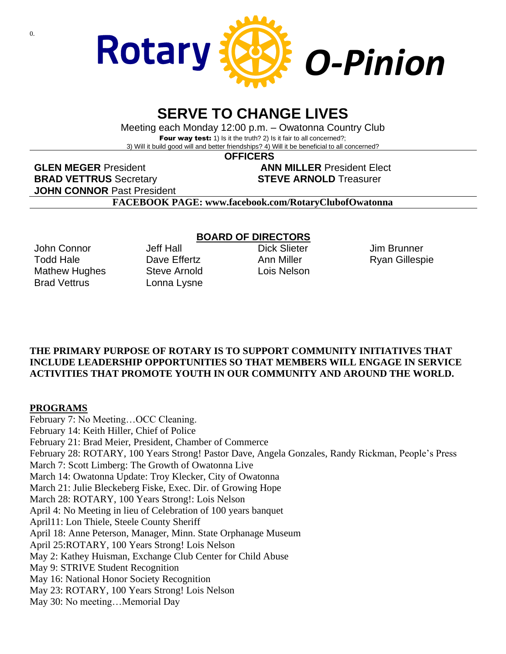

## **SERVE TO CHANGE LIVES**

Meeting each Monday 12:00 p.m. – Owatonna Country Club Four way test: 1) Is it the truth? 2) Is it fair to all concerned?; 3) Will it build good will and better friendships? 4) Will it be beneficial to all concerned?

 **OFFICERS**

**GLEN MEGER** President **ANN MILLER** President Elect **BRAD VETTRUS** Secretary **STEVE ARNOLD** Treasurer **JOHN CONNOR** Past President

**FACEBOOK PAGE: www.facebook.com/RotaryClubofOwatonna**

John Connor Todd Hale Mathew Hughes Brad Vettrus

Jeff Hall Dave Effertz Steve Arnold Lonna Lysne

### **BOARD OF DIRECTORS**

Dick Slieter Ann Miller Lois Nelson Jim Brunner Ryan Gillespie

#### **THE PRIMARY PURPOSE OF ROTARY IS TO SUPPORT COMMUNITY INITIATIVES THAT INCLUDE LEADERSHIP OPPORTUNITIES SO THAT MEMBERS WILL ENGAGE IN SERVICE ACTIVITIES THAT PROMOTE YOUTH IN OUR COMMUNITY AND AROUND THE WORLD.**

#### **PROGRAMS**

February 7: No Meeting…OCC Cleaning. February 14: Keith Hiller, Chief of Police February 21: Brad Meier, President, Chamber of Commerce February 28: ROTARY, 100 Years Strong! Pastor Dave, Angela Gonzales, Randy Rickman, People's Press March 7: Scott Limberg: The Growth of Owatonna Live March 14: Owatonna Update: Troy Klecker, City of Owatonna March 21: Julie Bleckeberg Fiske, Exec. Dir. of Growing Hope March 28: ROTARY, 100 Years Strong!: Lois Nelson April 4: No Meeting in lieu of Celebration of 100 years banquet April11: Lon Thiele, Steele County Sheriff April 18: Anne Peterson, Manager, Minn. State Orphanage Museum April 25:ROTARY, 100 Years Strong! Lois Nelson May 2: Kathey Huisman, Exchange Club Center for Child Abuse May 9: STRIVE Student Recognition May 16: National Honor Society Recognition May 23: ROTARY, 100 Years Strong! Lois Nelson May 30: No meeting…Memorial Day